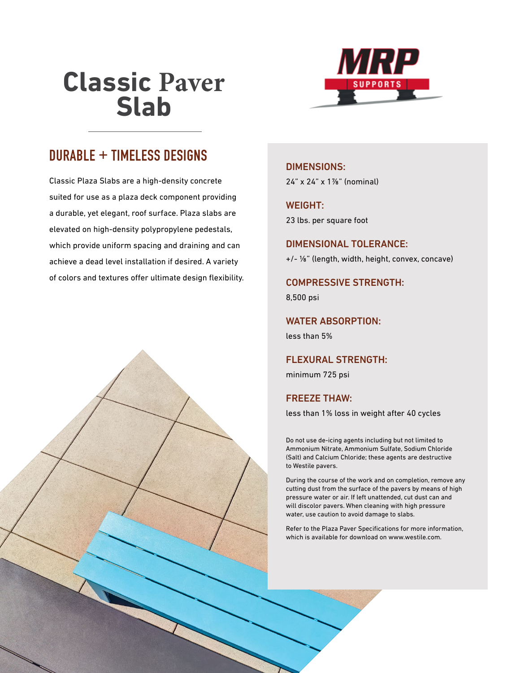# **Atlantic Plaza Pavers**



## **DURABLE + TIMELESS DESIGNS**

Classic Plaza Slabs are a high-density concrete suited for use as a plaza deck component providing a durable, yet elegant, roof surface. Plaza slabs are elevated on high-density polypropylene pedestals, which provide uniform spacing and draining and can achieve a dead level installation if desired. A variety of colors and textures offer ultimate design flexibility.

#### DIMENSIONS:

24" x 24" x 17/8" (nominal)

### WEIGHT:

23 lbs. per square foot

DIMENSIONAL TOLERANCE: +/- 1/8" (length, width, height, convex, concave)

COMPRESSIVE STRENGTH: 8,500 psi

WATER ABSORPTION: less than 5%

FLEXURAL STRENGTH: minimum 725 psi

### FREEZE THAW:

less than 1% loss in weight after 40 cycles

Do not use de-icing agents including but not limited to Ammonium Nitrate, Ammonium Sulfate, Sodium Chloride (Salt) and Calcium Chloride; these agents are destructive to Westile pavers.

During the course of the work and on completion, remove any cutting dust from the surface of the pavers by means of high pressure water or air. If left unattended, cut dust can and will discolor pavers. When cleaning with high pressure water, use caution to avoid damage to slabs.

Refer to the Plaza Paver Specifications for more information, which is available for download on www.westile.com.